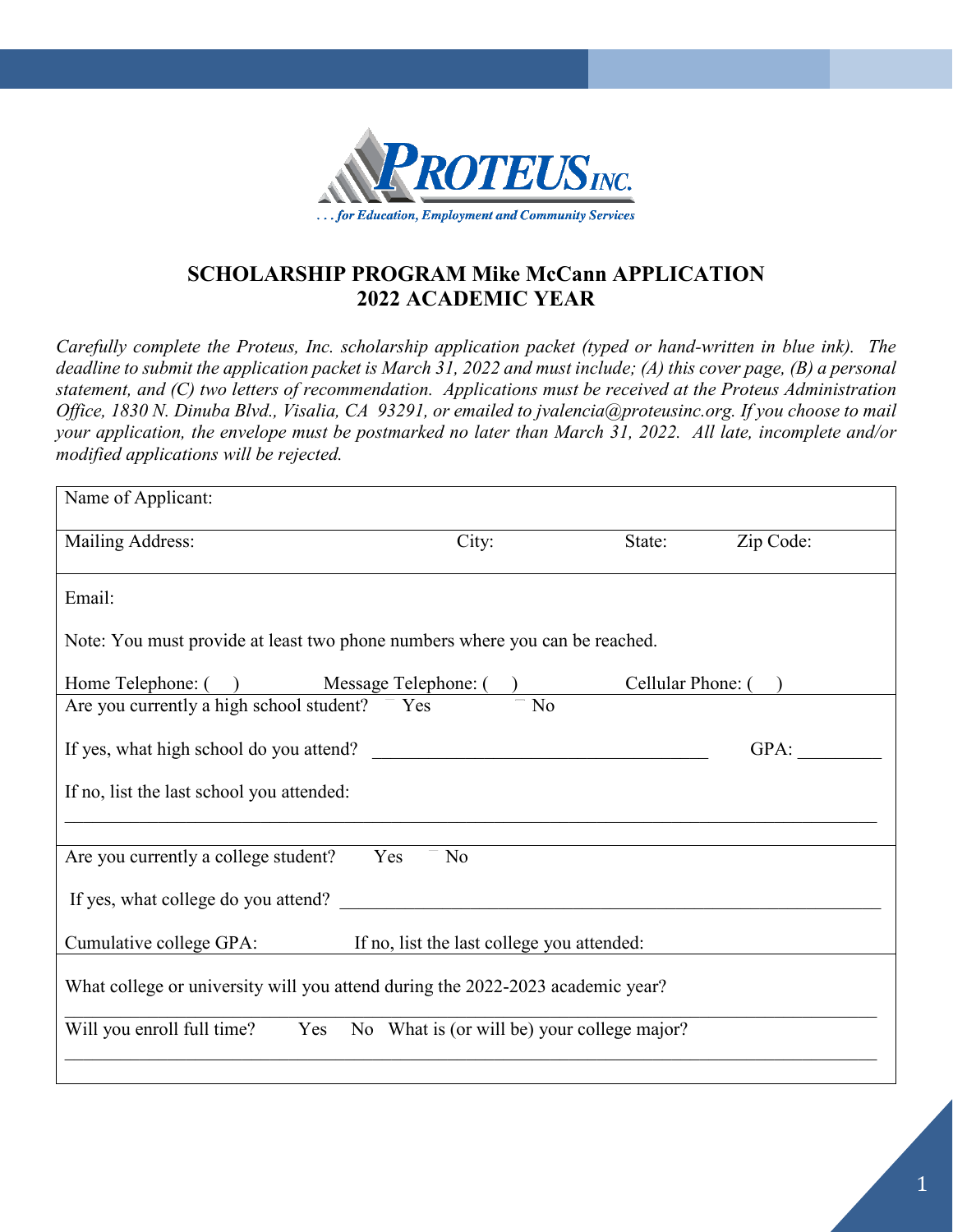

## **SCHOLARSHIP PROGRAM Mike McCann APPLICATION 2022 ACADEMIC YEAR**

*Carefully complete the Proteus, Inc. scholarship application packet (typed or hand-written in blue ink). The deadline to submit the application packet is March 31, 2022 and must include; (A) this cover page, (B) a personal statement, and (C) two letters of recommendation. Applications must be received at the Proteus Administration Office, 1830 N. Dinuba Blvd., Visalia, CA 93291, or emailed to jvalencia@proteusinc.org. If you choose to mail your application, the envelope must be postmarked no later than March 31, 2022. All late, incomplete and/or modified applications will be rejected.* 

| Name of Applicant:                                                                                                |                                                 |        |           |  |
|-------------------------------------------------------------------------------------------------------------------|-------------------------------------------------|--------|-----------|--|
| Mailing Address:                                                                                                  | City:                                           | State: | Zip Code: |  |
| Email:                                                                                                            |                                                 |        |           |  |
| Note: You must provide at least two phone numbers where you can be reached.                                       |                                                 |        |           |  |
|                                                                                                                   |                                                 |        |           |  |
| Home Telephone: ( ) Message Telephone: ( ) Cellular Phone: ( )<br>Are you currently a high school student? Yes To |                                                 |        |           |  |
|                                                                                                                   |                                                 |        | GPA:      |  |
| If no, list the last school you attended:                                                                         |                                                 |        |           |  |
|                                                                                                                   |                                                 |        |           |  |
| Yes<br>Are you currently a college student?                                                                       | No                                              |        |           |  |
| If yes, what college do you attend?                                                                               |                                                 |        |           |  |
| Cumulative college GPA:<br>If no, list the last college you attended:                                             |                                                 |        |           |  |
| What college or university will you attend during the 2022-2023 academic year?                                    |                                                 |        |           |  |
| Will you enroll full time?                                                                                        | Yes No What is (or will be) your college major? |        |           |  |